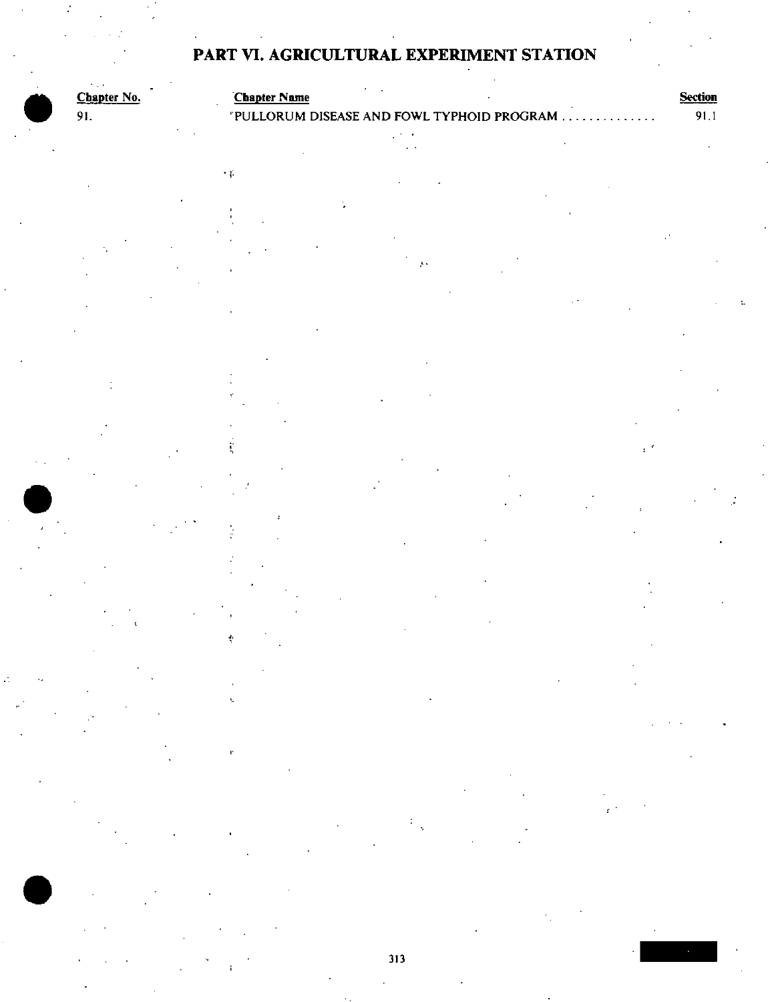# PART VI. AGRICULTURAL EXPERIMENT STATION

| rija.<br>Chapter No.<br>91.                                                                                                      | <b>Chapter Name</b><br>"PULLORUM DISEASE AND FOWL TYPHOID PROGRAM.                                                                                                                                                                                                                                                                                                                                                                                   |                                                                                     |                                                                                                                                                                              | <b>Section</b><br>91.1                   |
|----------------------------------------------------------------------------------------------------------------------------------|------------------------------------------------------------------------------------------------------------------------------------------------------------------------------------------------------------------------------------------------------------------------------------------------------------------------------------------------------------------------------------------------------------------------------------------------------|-------------------------------------------------------------------------------------|------------------------------------------------------------------------------------------------------------------------------------------------------------------------------|------------------------------------------|
|                                                                                                                                  |                                                                                                                                                                                                                                                                                                                                                                                                                                                      |                                                                                     |                                                                                                                                                                              |                                          |
|                                                                                                                                  |                                                                                                                                                                                                                                                                                                                                                                                                                                                      |                                                                                     |                                                                                                                                                                              |                                          |
|                                                                                                                                  | $\sim$ $\mu$                                                                                                                                                                                                                                                                                                                                                                                                                                         |                                                                                     |                                                                                                                                                                              |                                          |
|                                                                                                                                  |                                                                                                                                                                                                                                                                                                                                                                                                                                                      |                                                                                     |                                                                                                                                                                              |                                          |
|                                                                                                                                  |                                                                                                                                                                                                                                                                                                                                                                                                                                                      |                                                                                     |                                                                                                                                                                              |                                          |
|                                                                                                                                  |                                                                                                                                                                                                                                                                                                                                                                                                                                                      |                                                                                     |                                                                                                                                                                              |                                          |
|                                                                                                                                  |                                                                                                                                                                                                                                                                                                                                                                                                                                                      |                                                                                     |                                                                                                                                                                              |                                          |
|                                                                                                                                  |                                                                                                                                                                                                                                                                                                                                                                                                                                                      |                                                                                     |                                                                                                                                                                              |                                          |
|                                                                                                                                  |                                                                                                                                                                                                                                                                                                                                                                                                                                                      |                                                                                     |                                                                                                                                                                              |                                          |
|                                                                                                                                  |                                                                                                                                                                                                                                                                                                                                                                                                                                                      |                                                                                     |                                                                                                                                                                              |                                          |
|                                                                                                                                  |                                                                                                                                                                                                                                                                                                                                                                                                                                                      |                                                                                     |                                                                                                                                                                              |                                          |
|                                                                                                                                  |                                                                                                                                                                                                                                                                                                                                                                                                                                                      |                                                                                     |                                                                                                                                                                              |                                          |
|                                                                                                                                  |                                                                                                                                                                                                                                                                                                                                                                                                                                                      |                                                                                     |                                                                                                                                                                              |                                          |
|                                                                                                                                  |                                                                                                                                                                                                                                                                                                                                                                                                                                                      |                                                                                     |                                                                                                                                                                              |                                          |
|                                                                                                                                  |                                                                                                                                                                                                                                                                                                                                                                                                                                                      |                                                                                     |                                                                                                                                                                              |                                          |
|                                                                                                                                  |                                                                                                                                                                                                                                                                                                                                                                                                                                                      |                                                                                     |                                                                                                                                                                              |                                          |
|                                                                                                                                  |                                                                                                                                                                                                                                                                                                                                                                                                                                                      |                                                                                     |                                                                                                                                                                              |                                          |
|                                                                                                                                  |                                                                                                                                                                                                                                                                                                                                                                                                                                                      |                                                                                     |                                                                                                                                                                              |                                          |
|                                                                                                                                  |                                                                                                                                                                                                                                                                                                                                                                                                                                                      |                                                                                     |                                                                                                                                                                              |                                          |
|                                                                                                                                  |                                                                                                                                                                                                                                                                                                                                                                                                                                                      |                                                                                     |                                                                                                                                                                              |                                          |
|                                                                                                                                  |                                                                                                                                                                                                                                                                                                                                                                                                                                                      |                                                                                     |                                                                                                                                                                              |                                          |
|                                                                                                                                  |                                                                                                                                                                                                                                                                                                                                                                                                                                                      |                                                                                     |                                                                                                                                                                              |                                          |
|                                                                                                                                  |                                                                                                                                                                                                                                                                                                                                                                                                                                                      |                                                                                     |                                                                                                                                                                              |                                          |
|                                                                                                                                  |                                                                                                                                                                                                                                                                                                                                                                                                                                                      |                                                                                     |                                                                                                                                                                              |                                          |
|                                                                                                                                  |                                                                                                                                                                                                                                                                                                                                                                                                                                                      | the control of the control of                                                       | $\mathcal{F}^{\mathcal{G}}_{\mathcal{G}}$ and $\mathcal{F}^{\mathcal{G}}_{\mathcal{G}}$                                                                                      |                                          |
| ing<br>Bandara                                                                                                                   | $\label{eq:2.1} \frac{1}{2}\int_{\mathbb{R}^{3}}\left \frac{d\mu}{d\mu}\right ^{2}d\mu\leq\frac{1}{2}\int_{\mathbb{R}^{3}}\left \frac{d\mu}{d\mu}\right ^{2}d\mu\leq\frac{1}{2}\int_{\mathbb{R}^{3}}\left \frac{d\mu}{d\mu}\right ^{2}d\mu.$                                                                                                                                                                                                         |                                                                                     |                                                                                                                                                                              |                                          |
|                                                                                                                                  |                                                                                                                                                                                                                                                                                                                                                                                                                                                      |                                                                                     |                                                                                                                                                                              |                                          |
|                                                                                                                                  | $\mathbf{u} = \mathbf{u} \mathbf{u}$ . The $\mathbf{u}$<br>and the state of the state of                                                                                                                                                                                                                                                                                                                                                             |                                                                                     |                                                                                                                                                                              |                                          |
|                                                                                                                                  |                                                                                                                                                                                                                                                                                                                                                                                                                                                      |                                                                                     | $\mathcal{L}_{\mathcal{A}}$<br>$\mathcal{A}_{\mathcal{A}}$                                                                                                                   |                                          |
|                                                                                                                                  |                                                                                                                                                                                                                                                                                                                                                                                                                                                      |                                                                                     |                                                                                                                                                                              | $\mathcal{A}^{\prime}$<br>$\chi^{(1)}$ . |
|                                                                                                                                  | $\mathcal{O}(\mathcal{O}_\mathcal{O})$ . The contribution of the contribution of the contribution of the contribution of the contribution of the contribution of the contribution of the contribution of the contribution of the contribution o                                                                                                                                                                                                      |                                                                                     |                                                                                                                                                                              |                                          |
|                                                                                                                                  | $\mathcal{L}^{\mathcal{L}}(\mathcal{L}^{\mathcal{L}})$ and $\mathcal{L}^{\mathcal{L}}(\mathcal{L}^{\mathcal{L}})$ and $\mathcal{L}^{\mathcal{L}}(\mathcal{L}^{\mathcal{L}})$                                                                                                                                                                                                                                                                         |                                                                                     | $\mathcal{L}^{\mathcal{L}}(\mathcal{L}^{\mathcal{L}})$ and $\mathcal{L}^{\mathcal{L}}(\mathcal{L}^{\mathcal{L}})$ and $\mathcal{L}^{\mathcal{L}}(\mathcal{L}^{\mathcal{L}})$ |                                          |
|                                                                                                                                  |                                                                                                                                                                                                                                                                                                                                                                                                                                                      |                                                                                     |                                                                                                                                                                              |                                          |
| $\mathcal{L}^{\mathcal{L}}(X)$ and $\mathcal{L}^{\mathcal{L}}(X)$ are the set of the set of the set of the set of the set of $X$ |                                                                                                                                                                                                                                                                                                                                                                                                                                                      |                                                                                     |                                                                                                                                                                              |                                          |
|                                                                                                                                  | $\label{eq:2.1} \frac{1}{2} \int_{\mathbb{R}^3} \left  \frac{1}{2} \left( \frac{1}{2} \right) \right ^2 \, \mathrm{d} \mathcal{H} \, \mathrm{d} \mathcal{H} \, \mathrm{d} \mathcal{H} \, \mathrm{d} \mathcal{H} \, \mathrm{d} \mathcal{H} \, \mathrm{d} \mathcal{H} \, \mathrm{d} \mathcal{H} \, \mathrm{d} \mathcal{H} \, \mathrm{d} \mathcal{H} \, \mathrm{d} \mathcal{H} \, \mathrm{d} \mathcal{H} \, \mathrm{d} \mathcal{H} \, \mathrm{d} \math$ | $\mathcal{L}^{\text{max}}_{\text{max}}$ and $\mathcal{L}^{\text{max}}_{\text{max}}$ |                                                                                                                                                                              |                                          |
| $\mathcal{O}(\mathcal{O}_\mathcal{O})$ . The $\mathcal{O}(\mathcal{O}_\mathcal{O})$                                              |                                                                                                                                                                                                                                                                                                                                                                                                                                                      | 313                                                                                 |                                                                                                                                                                              |                                          |
|                                                                                                                                  |                                                                                                                                                                                                                                                                                                                                                                                                                                                      |                                                                                     |                                                                                                                                                                              |                                          |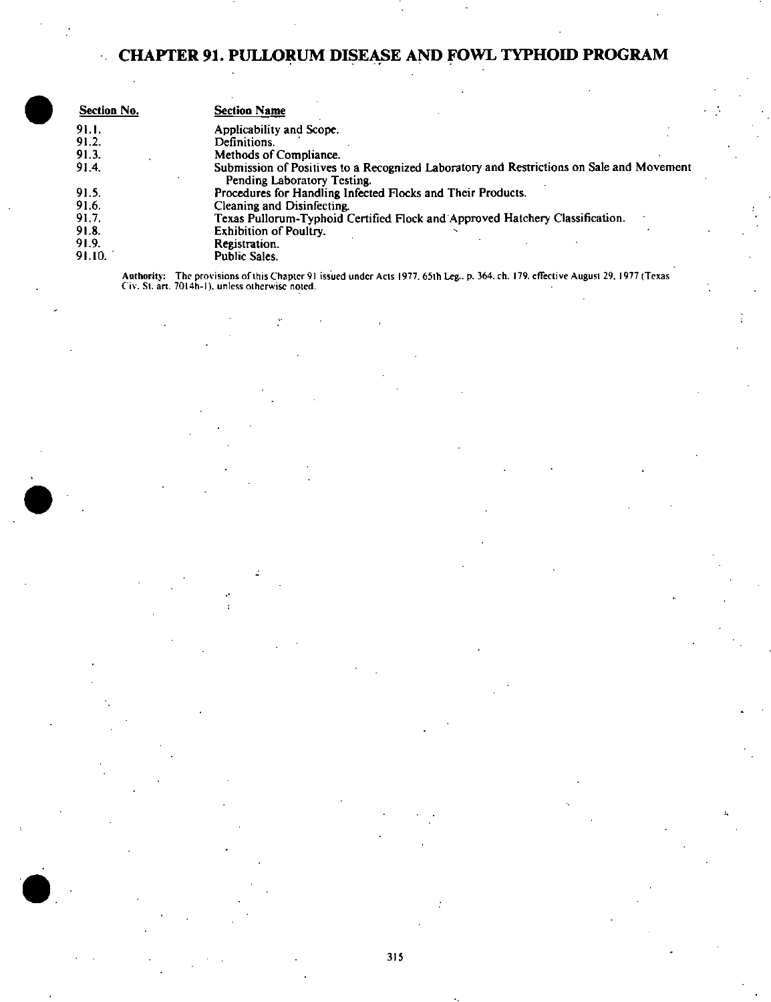## CHAPTER 91. PULLORUM DISEASE AND FOWL TYPHOID PROGRAM

| <b>Section No.</b> | <b>Section Name</b>                                                                                                     |
|--------------------|-------------------------------------------------------------------------------------------------------------------------|
| 91.1.              | Applicability and Scope.                                                                                                |
| 91.2.              | Definitions.                                                                                                            |
| 91.3.              | Methods of Compliance.                                                                                                  |
| 91.4.              | Submission of Positives to a Recognized Laboratory and Restrictions on Sale and Movement<br>Pending Laboratory Testing. |
| 91.5.              | Procedures for Handling Infected Flocks and Their Products.                                                             |
| 91.6.              | Cleaning and Disinfecting.                                                                                              |
| 91.7.              | Texas Pullorum-Typhoid Certified Flock and Approved Hatchery Classification.                                            |
| 91.8.              | <b>Exhibition of Poultry.</b>                                                                                           |
| 91.9.              | Registration.                                                                                                           |
| 91.10.             | Public Sales.                                                                                                           |

Authority: The provisions of this Chapter 91 issued under Acts 1977. 65th Leg. p. 364. ch. 179. effective August 29, 1977 (Texas<br>Civ. St. art. 7014h-1), unless otherwise noted.

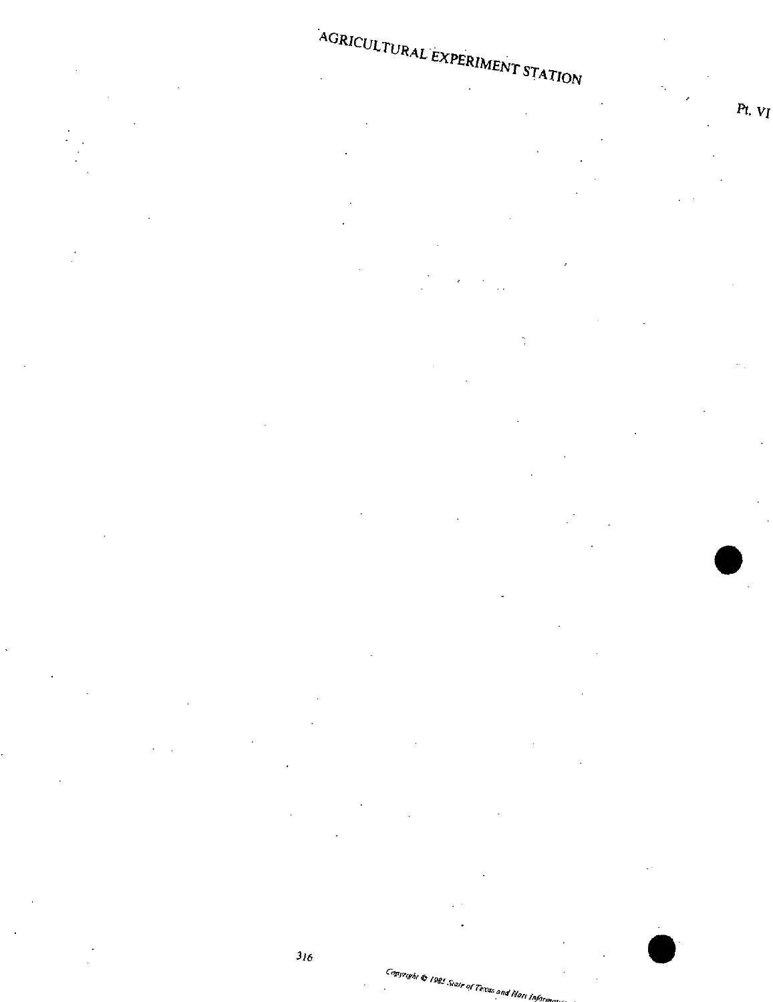Copyright & 1985 State of Texas and Hart Info

 $Pt, VI$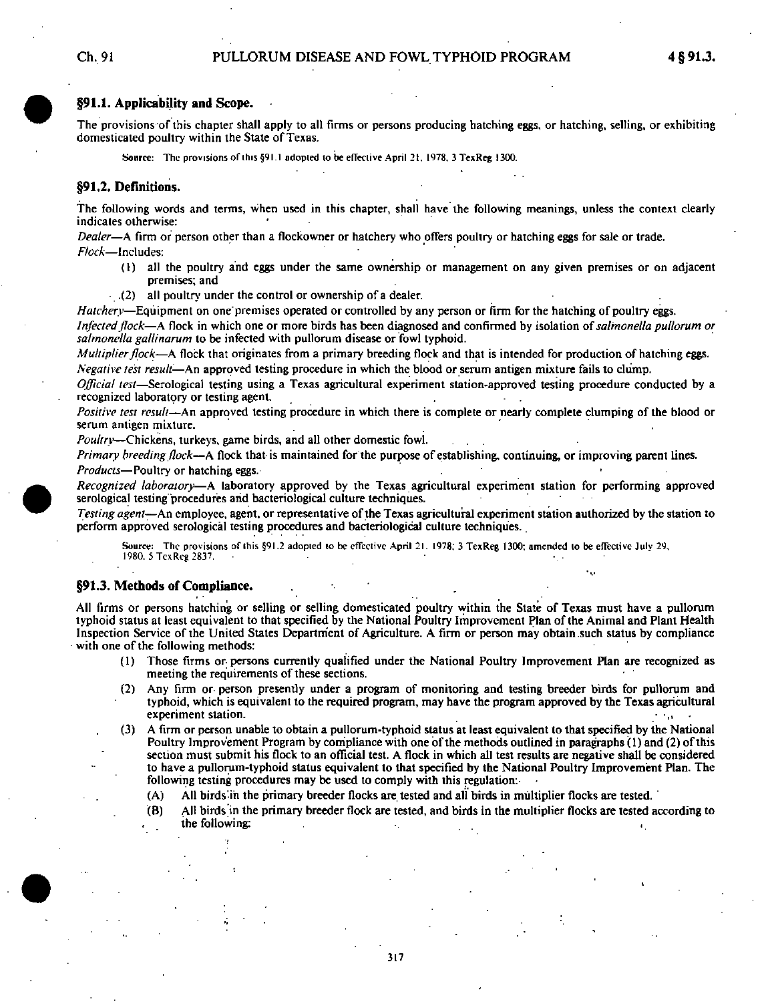#### §91.1. Applicability and Scope.

The provisions of this chapter shall apply to all firms or persons producing hatching eggs, or hatching, selling, or exhibiting domesticated poultry within the Slate of Texas.

Source: The provisions of this  $\S91.1$  adopted to be effective April 21, 1978, 3 Tex Reg 1300.

### §91.2. Definitions.

The following words and terms, when used in this chapter, shall have the following meanings, unless the context clearly indicates otherwise:

Dealer—A firm or person other than a flockowner or hatchery who offers poultry or hatching eggs for sale or trade. Flock—Includes:

- (I) all the poultry and eggs under the same ownership or management on any given premises or on adjacent premises; and
- $(2)$  all poultry under the control or ownership of a dealer.

Hatchery—Equipment on one premises operated or controlled by any person or firm for the hatching of poultry eggs. Infected flock—A flock in which one or more birds has been diagnosed and confirmed by isolation of salmonella pullorum or salmonella gallinarum to be infected with pullorum disease or fowl typhoid.

Multiplier flock—A flock that originates from a primary breeding flock and that is intended for production of hatching eggs. Negative test result—An approved testing procedure in which the blood or serum antigen mixture fails to clump.

Official test—Serological testing using a Texas agricultural experiment station-approved testing procedure conducted by a recognized laboratory or testing agent.

Positive test result—An approved testing procedure in which there is complete or nearly complete clumping of the blood or serum antigen mixture.

Poultry—Chickens, turkeys, game birds, and all other domestic fowl.

Primary breeding flock—A flock that is maintained for the purpose of establishing, continuing, or improving parent lines. Products—Poultry or hatching eggs.

Recognized laboratory—A laboratory approved by the Texas agricultural experiment station for performing approved serological testing procedures and bacteriological culture techniques.

Testing agent—An employee, agent, or representative of the Texas agricultural experiment station authorized by the station to perform approved serological testing procedures and bacteriological culture techniques.

Source: The provisions of this §91.2 adopted to be effective April 21. 1978; 3 TexReg 1300; amended to be effective July 29, Source: 1999. The provisions of this \$91.

#### §91.3. Methods of Compliance.

All firms or persons hatching or selling or selling domesticated poultry within the State of Texas must have a pullorum typhoid status at least equivalent to that specified by the National Poultry Improvement Plan of the Animal and Plant Health Inspection Service of the United States Department of Agriculture. A firm or person may obtain such status by compliance with one of the following methods:

- (1) Those firms or persons currently qualified under the National Poultry Improvement Plan are recognized as meeting the requirements of these sections.
- (2) Any firm or person presently under a program of monitoring and testing breeder birds for pullorum and typhoid, which is equivalent to the required program, may have the program approved by the Texas agricultural experiment station.
- (3) A firm or person unable to obtain a puUorum-typhoid status at least equivalent to that specified by the National Poultry Improvement Program by compliance with one of the methods outlined in paragraphs (1) and (2) of this section must submit his flock to an official test. A flock in which all test results are negative shall be considered to have a pullorum-typhoid status equivalent to that specified by the National Poultry Improvement Plan. The following testing procedures may be used to comply with this regulation:
	- (A) All birds'ih the primary breeder flocks are, tested and all birds in multiplier flocks are tested.
	- (B) All birds in the primary breeder flock are tested, and birds in the multiplier flocks are tested according to the following: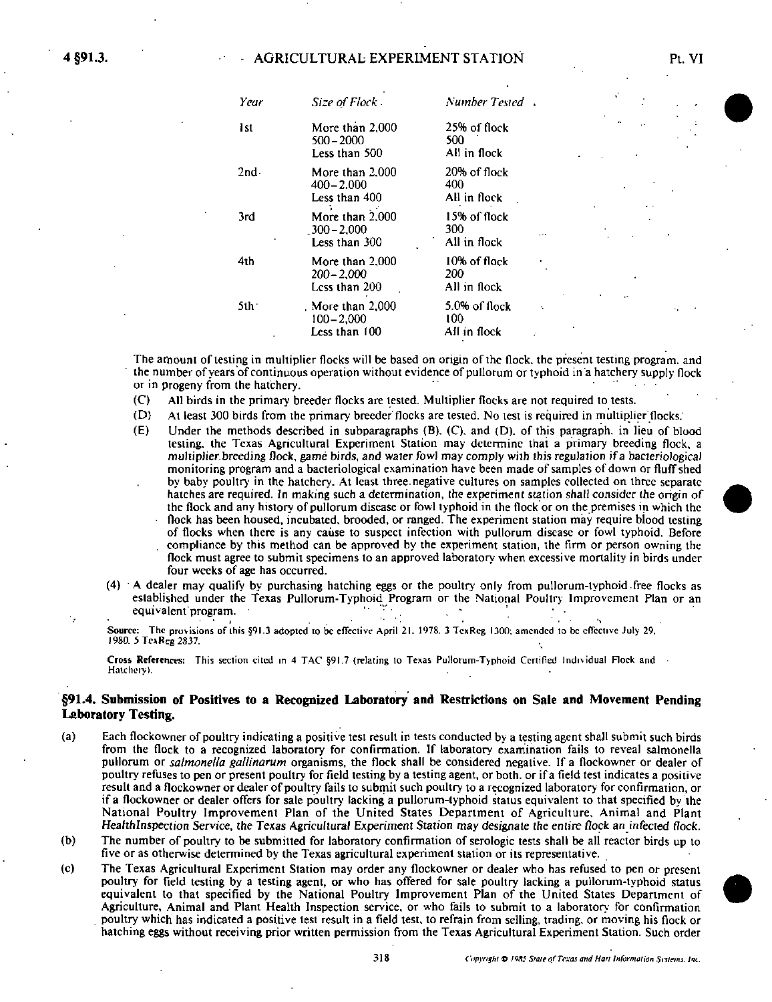| Year             | Size of Flock                                         | Number Tested                           |          | ¢. |
|------------------|-------------------------------------------------------|-----------------------------------------|----------|----|
| 1st              | More than $2,000$<br>$500 - 2000$<br>Less than 500    | 25% of flock<br>500.<br>All in flock    |          |    |
| 2nd.             | More than 2,000<br>$400 - 2.000$<br>Less than 400     | 20% of flock<br>400<br>All in flock     |          |    |
| 3rd              | More than 2,000<br>$-300 - 2,000$<br>Less than 300    | 15% of flock<br>300<br>All in flock     | $\cdots$ |    |
| 4th              | More than 2,000<br>$200 - 2.000$<br>Less than 200     | 10% of flock<br>200.<br>All in flock    |          |    |
| 5th <sup>2</sup> | , More than $2,000$<br>$100 - 2.000$<br>Less than 100 | $5.0\%$ of flock<br>100<br>All in flock |          |    |

The amount of testing in multiplier flocks will be based on origin of the flock, the present testing program, and the number ofyears of continuous operation without evidence of pullorum or typhoid in a hatchery supply flock or in progeny from the hatchery.

- (C) All birds in the primary breeder flocks are tested. Multiplier flocks are not required to tests.
- (D) At least 300 birds from the primary breeder flocks are tested. No test is requircd in multiplier flocks.'
- (E) Under the methods described in subparagraphs (B), (C). and (D). of this paragraph, in lieu of blood testing, the Texas Agricultural Experiment Station may determine that a primary breeding flock, a mulliplier.breeding flock, game birds, and water fowl may comply with this regulation if a bacteriological monitoring program and a bacteriological examination have been made of samples of down or fluff shed by baby poultry in the hatchery. At least three-negative cultures on samples collected on three separate hatches are required. In making such a determination, the experiment station shall consider the origin of the flock and any history of pullorum disease or fowl typhoid in ihe flock or on the premises in which the flock has been housed, incubated, brooded, or ranged. The experiment station may require blood testing of flocks when there is any cause to suspect infection with pullorum disease or fowl typhoid. Before . compliance by this method can be approved by the experiment station, the firm or person owning the flock must agree to submit specimens to an approved laboratory when excessive mortality in birds under four weeks of age has occurred.
- (4) A dealer may qualify by purchasing hatching eggs or the poultry only from pullorum-typhoid free flocks as established under the Texas Pullorum-Typhoid Program or the National Poultry Improvement Plan or an equivalent program.

Source: The provisions of this §91.3 adopted to be effective April 21. 1978. 3 TexReg 1300; amended to be effective July 29, 1980. 5 TexReg 2837.

Cross References: This section cited in 4 TAC §91.7 (relating to Texas Pullorum-Typhoid Certified Individual Flock and Hatchery).

#### §91.4. Submission of Positives to a Recognized Laboratory and Restrictions on Sale and Movement Pending Laboratory Testing.

- (a) Each flockowner of poultry indicating a positive test result in tests conducted by a testing agent shall submit such birds from the flock to a recognized laboratory for confirmation. If laboratory examination fails to reveal salmonella pullorum or salmonella gallinarum organisms, the flock shall be considered negative. If a flockowner or dealer of poultry refuses to pen or present poultry for field testing by a testing agent, or both, or if a field test indicates a positive result and a flockowner or dealer of poultry fails to submit such poultry to a recognized laboratory for confirmation, or if a flockowner or dealer offers for sale poultry lacking a pullorum-typhoid status equivalent to that specified by the National Poultry Improvement Plan of the United Slates Department of Agriculture, Animal and Plant Healthlnspection Service, the Texas Agricultural Experiment Station may designate the entire flock an infected flock.
- (b) The number of poultry to be submitted for laboratory confirmation of serologic tests shall be all reactor birds up to five or as otherwise determined by the Texas agricultural experiment station or its representative.
- (c) The Texas Agricultural Experiment Station may order any flockowner or dealer who has refused to pen or present poultry for field testing by a testing agent, or who has offered for sale poultry lacking a pullorum-typhoid status equivalent to that specified by the National Poultry Improvement Plan of the United States Department of Agriculture, Animal and Plant Health Inspection service, or who fails to submit to a laboratory for confirmation . poultry which has indicated a positive test result in a field lest, to refrain from selling, trading, or moving his flock or hatching eggs without receiving prior written permission from the Texas Agricultural Experiment Station. Such order

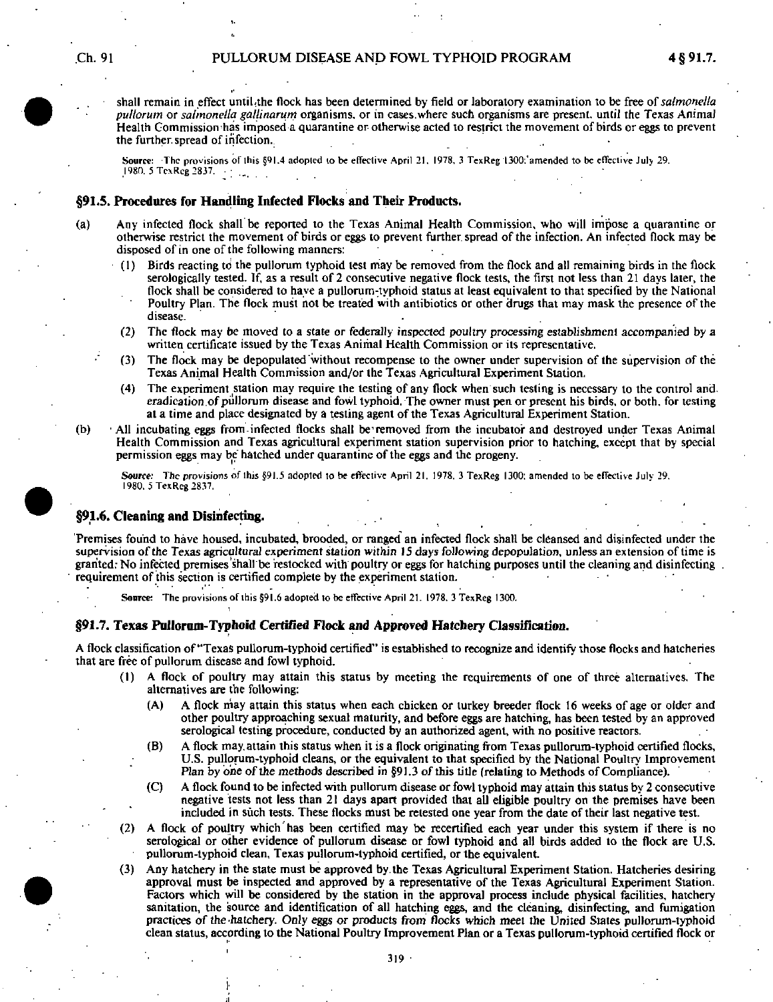shall remain in effect until<sub>at</sub>he flock has been determined by field or laboratory examination to be free of salmonella pullorum or salmonella gallinarum organisms, or in cases.where such organisms are present, until the Texas Animal Health Commission has imposed a quarantine or otherwise acted to restrict the movement of birds or eggs to prevent the further, spread of infection.

Source: The provisions of this §91.4 adopted to be effective April 21, 1978, 3 TexReg 1300: amended to be effective July 29. 1980. 5 TexReg 2837. • ; ...

#### §91.5. Procedures for Handling Infected Flocks and Their Products.

- (a) Any infected flock shall be reported to the Texas Animal Health Commission, who will impose a quarantine or otherwise restrict the movement of birds or eggs to prevent further, spread of the infection. An infected flock may be disposed of in one of the following manners;
	- (1) Birds reacting to the pullorum typhoid test may be removed from the flock and all remaining birds in the flock serologically tested. If, as a result of 2 consecutive negative flock tests, the first not less than 21 days later, the flock shall be considered to have a pullorum-typhoid status at least equivalent to that specified by the National Poultry Plan. The flock must not be treatied with antibiotics or other drugs that may mask the presence of the disease.
	- (2) The flock may be moved to a state or federally inspected poultry processing establishment accompanied by a written certificate issued by the Texas Animal Health Commission or its representative.
	- (3) The flock may be depopulated without recompense to the owner under supervision of the supervision of the Texas Animal Health Commission and/or the Texas Agricultural Experiment Station.
	- (4) The experiment station may require the testing of any flock when such testing is necessary to the control and. eradication.of piillorum disease and fowl typhoid. The owner must pen or present his birds, or both, for testing at a lime and place designated by a testing agent of the Texas Agricultural Experiment Station.
- (b) All incubating eggs from infected flocks shall be'removed from the incubator and destroyed under Texas Animal Health Commission and Texas agricultural experiment station supervision prior to hatching, except that by special permission eggs may be' hatched under quarantine of the eggs and the progeny.

Source: The provisions of this §91.5 adopted to be effective April 21. 1978. 3 TexReg 1300; amended to be effective July 29. 1980. 5 TexReg 2837.

#### §91.6. Cleaning and Disinfecting.

'Premises found to have housed, incubated, brooded, or ranged an infected flock shall be cleansed and disinfected under the supervision of the Texas agricultural experiment station within )5 days following depopulation, unless an extension of time is granted; No infected premises shall be restocked with poultry or eggs for hatching purposes until the cleaning and disinfecting. requirement of this section is certified complete by the experiment station.

Source: The provisions of this §91.6 adopted to be effective April 21. 1978. 3 TexReg 1300.

#### §91.7. Texas Pullonun-Typhoid Certified Flock and Approved Hatchery Classification.

A flock classification of "Texas pullorum-typhoid certified" is established to recognize and identify those flocks and hatcheries that are free of pullorum disease and fowl typhoid.

- (1) A flock of poultry may attain this status by meeting the requirements of one of three alternatives. The alternatives are the following:
	- (A) A flock may attain this status when each chicken or turkey breeder flock 16 weeks of age or older and other poultry approaching sexual maturity, and before eggs are hatching, has been tested by an approved serological testing procedure, conducted by an authorized agent, with no positive reactors.
	- $(B)$  A flock may attain this status when it is a flock originating from Texas pullorum-typhoid certified flocks, U.S. pullorum-typhoid cleans, or the equivalent to that specified by the National Poultry Improvement Plan by one of the methods described in §91.3 of this tifle (relating to Methods of Compliance).
	- (C) A flock found to be infected with pullorum disease or fowl typhoid may attain this status by 2 consecutive negative tests not less than 21 days apart provided that all eligible poultry on the premises have been included in such tests. These flocks must be retested one year from the date of their last negative test.
- (2) A flock of poultry which has been certified may be recertified each year under this system if there is no serological or other evidence of pullorum disease or fowl typhoid and all birds added lo the flock are U.S. pullorum-typhoid clean, Texas pullorum-typhoid certified, or the equivalent.
- (3) Any hatchery in the state must be approved by.ihe Texas Agricultural Experiment Station. Hatcheries desiring approval must be inspected and approved by a representative of the Texas Agricultural Experiment Station. Factors which will be considered by the station in the approval process include physical facilities, hatchery sanitation, the source and identification of all hatching eggs, and the cleaning, disinfecting, and fumigation practices of the hatchery. Only eggs or products from flocks which meet the United States pullorum-typhoid clean status, according to the National Poultry Improvement Plan or a Texas pullorum-typhoid certified flock or

 $\sim$  319